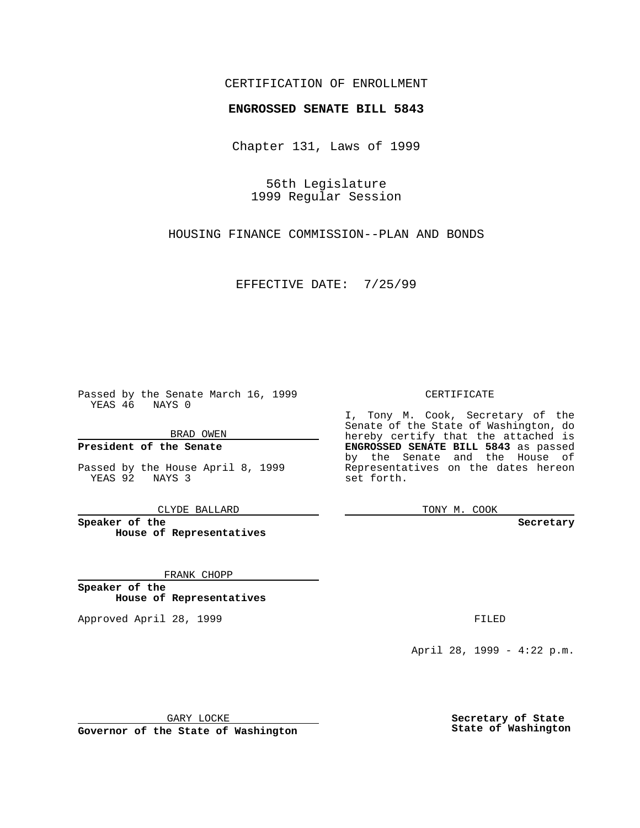## CERTIFICATION OF ENROLLMENT

# **ENGROSSED SENATE BILL 5843**

Chapter 131, Laws of 1999

56th Legislature 1999 Regular Session

HOUSING FINANCE COMMISSION--PLAN AND BONDS

EFFECTIVE DATE: 7/25/99

Passed by the Senate March 16, 1999 YEAS 46 NAYS 0

BRAD OWEN

**President of the Senate**

Passed by the House April 8, 1999 YEAS 92 NAYS 3

CLYDE BALLARD

**Speaker of the House of Representatives**

FRANK CHOPP

**Speaker of the House of Representatives**

Approved April 28, 1999 **FILED** 

### CERTIFICATE

I, Tony M. Cook, Secretary of the Senate of the State of Washington, do hereby certify that the attached is **ENGROSSED SENATE BILL 5843** as passed by the Senate and the House of Representatives on the dates hereon set forth.

TONY M. COOK

#### **Secretary**

April 28, 1999 - 4:22 p.m.

GARY LOCKE

**Governor of the State of Washington**

**Secretary of State State of Washington**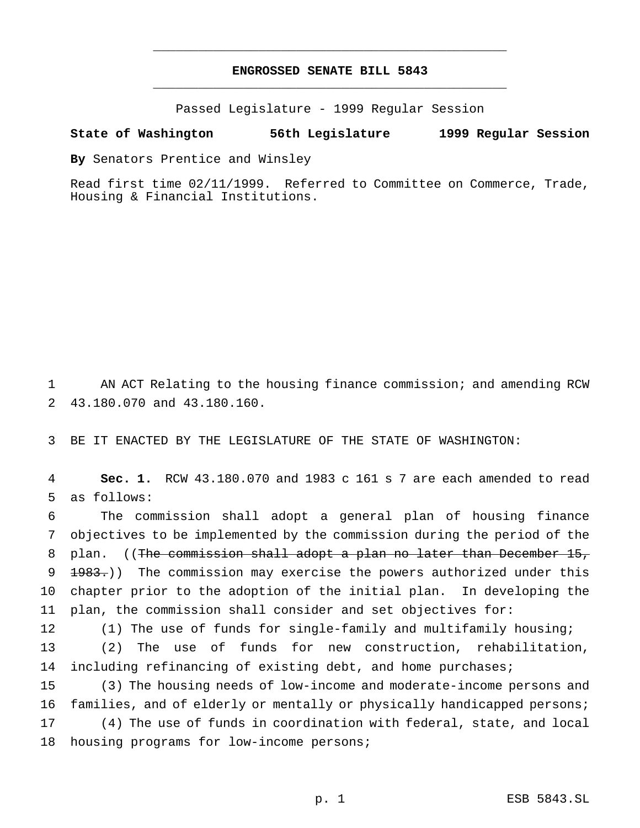## **ENGROSSED SENATE BILL 5843** \_\_\_\_\_\_\_\_\_\_\_\_\_\_\_\_\_\_\_\_\_\_\_\_\_\_\_\_\_\_\_\_\_\_\_\_\_\_\_\_\_\_\_\_\_\_\_

\_\_\_\_\_\_\_\_\_\_\_\_\_\_\_\_\_\_\_\_\_\_\_\_\_\_\_\_\_\_\_\_\_\_\_\_\_\_\_\_\_\_\_\_\_\_\_

Passed Legislature - 1999 Regular Session

### **State of Washington 56th Legislature 1999 Regular Session**

**By** Senators Prentice and Winsley

Read first time 02/11/1999. Referred to Committee on Commerce, Trade, Housing & Financial Institutions.

1 AN ACT Relating to the housing finance commission; and amending RCW 2 43.180.070 and 43.180.160.

3 BE IT ENACTED BY THE LEGISLATURE OF THE STATE OF WASHINGTON:

4 **Sec. 1.** RCW 43.180.070 and 1983 c 161 s 7 are each amended to read 5 as follows:

 The commission shall adopt a general plan of housing finance objectives to be implemented by the commission during the period of the 8 plan. ((The commission shall adopt a plan no later than December 15,  $\lbrace 1983. \rbrace$ ) The commission may exercise the powers authorized under this chapter prior to the adoption of the initial plan. In developing the plan, the commission shall consider and set objectives for:

12 (1) The use of funds for single-family and multifamily housing; 13 (2) The use of funds for new construction, rehabilitation, 14 including refinancing of existing debt, and home purchases;

 (3) The housing needs of low-income and moderate-income persons and families, and of elderly or mentally or physically handicapped persons; (4) The use of funds in coordination with federal, state, and local 18 housing programs for low-income persons;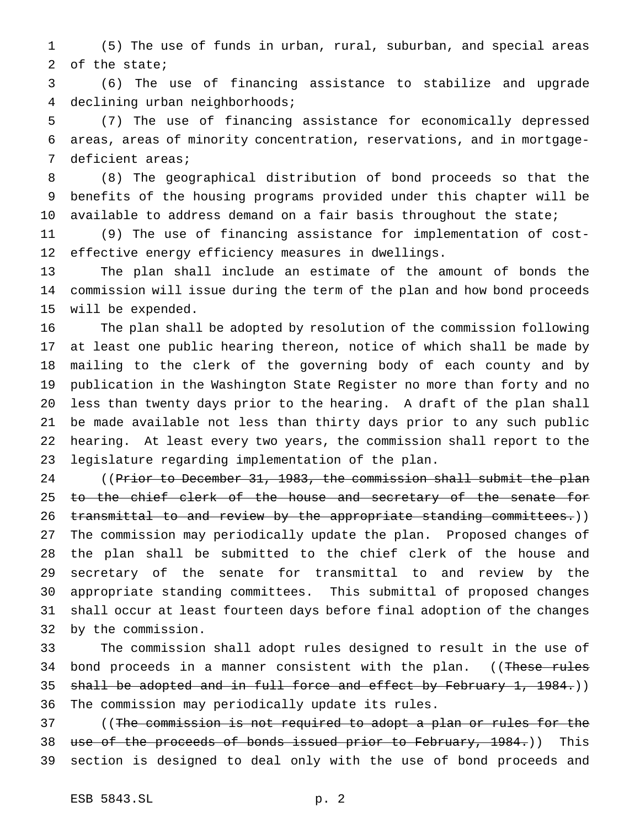(5) The use of funds in urban, rural, suburban, and special areas of the state;

 (6) The use of financing assistance to stabilize and upgrade declining urban neighborhoods;

 (7) The use of financing assistance for economically depressed areas, areas of minority concentration, reservations, and in mortgage-deficient areas;

 (8) The geographical distribution of bond proceeds so that the benefits of the housing programs provided under this chapter will be 10 available to address demand on a fair basis throughout the state;

 (9) The use of financing assistance for implementation of cost-effective energy efficiency measures in dwellings.

 The plan shall include an estimate of the amount of bonds the commission will issue during the term of the plan and how bond proceeds will be expended.

 The plan shall be adopted by resolution of the commission following at least one public hearing thereon, notice of which shall be made by mailing to the clerk of the governing body of each county and by publication in the Washington State Register no more than forty and no less than twenty days prior to the hearing. A draft of the plan shall be made available not less than thirty days prior to any such public hearing. At least every two years, the commission shall report to the legislature regarding implementation of the plan.

24 ((Prior to December 31, 1983, the commission shall submit the plan 25 to the chief clerk of the house and secretary of the senate for 26 transmittal to and review by the appropriate standing committees.)) The commission may periodically update the plan. Proposed changes of the plan shall be submitted to the chief clerk of the house and secretary of the senate for transmittal to and review by the appropriate standing committees. This submittal of proposed changes shall occur at least fourteen days before final adoption of the changes by the commission.

 The commission shall adopt rules designed to result in the use of 34 bond proceeds in a manner consistent with the plan. ((These rules 35 shall be adopted and in full force and effect by February 1, 1984.)) The commission may periodically update its rules.

 ((The commission is not required to adopt a plan or rules for the 38 use of the proceeds of bonds issued prior to February, 1984.)) This section is designed to deal only with the use of bond proceeds and